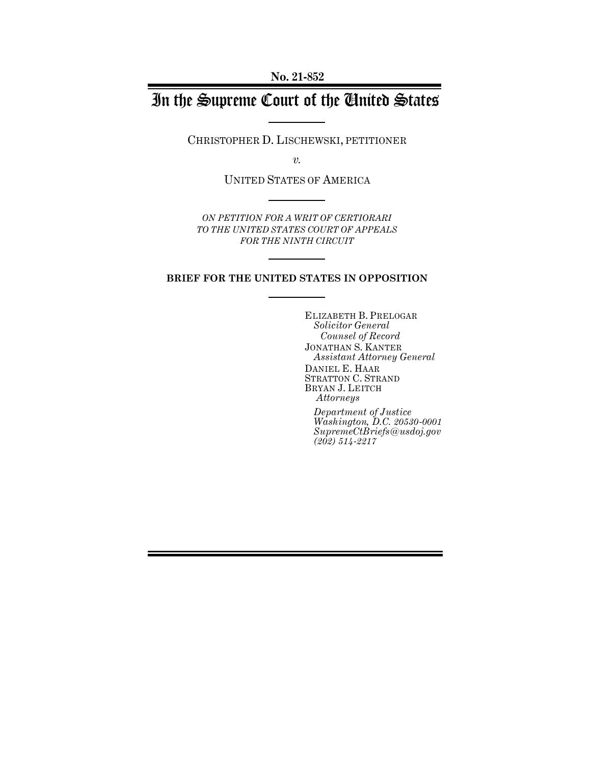**No. 21-852**

# In the Supreme Court of the United States

CHRISTOPHER D. LISCHEWSKI, PETITIONER

*v.*

UNITED STATES OF AMERICA

*ON PETITION FOR A WRIT OF CERTIORARI TO THE UNITED STATES COURT OF APPEALS FOR THE NINTH CIRCUIT*

### **BRIEF FOR THE UNITED STATES IN OPPOSITION**

ELIZABETH B. PRELOGAR *Solicitor General Counsel of Record* JONATHAN S. KANTER *Assistant Attorney General* DANIEL E. HAAR STRATTON C. STRAND BRYAN J. LEITCH *Attorneys*

*Department of Justice Washington, D.C. 20530-0001 SupremeCtBriefs@usdoj.gov (202) 514-2217*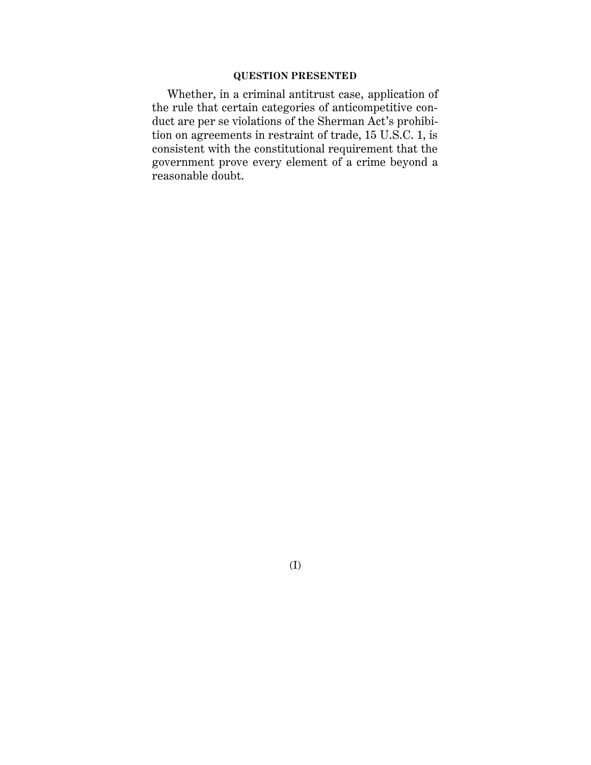### **QUESTION PRESENTED**

Whether, in a criminal antitrust case, application of the rule that certain categories of anticompetitive conduct are per se violations of the Sherman Act's prohibition on agreements in restraint of trade, 15 U.S.C. 1, is consistent with the constitutional requirement that the government prove every element of a crime beyond a reasonable doubt.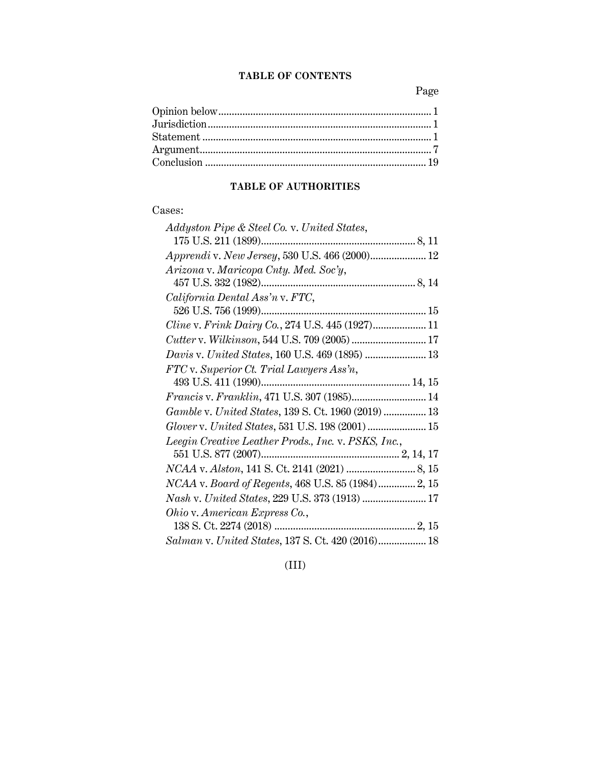### **TABLE OF CONTENTS**

Page

## **TABLE OF AUTHORITIES**

## Cases:

| Addyston Pipe & Steel Co. v. United States,         |
|-----------------------------------------------------|
|                                                     |
| Apprendi v. New Jersey, 530 U.S. 466 (2000) 12      |
| Arizona v. Maricopa Cnty. Med. Soc'y,               |
|                                                     |
| California Dental Ass'n v. FTC,                     |
|                                                     |
|                                                     |
|                                                     |
| Davis v. United States, 160 U.S. 469 (1895)  13     |
| FTC v. Superior Ct. Trial Lawyers Ass'n,            |
|                                                     |
| Francis v. Franklin, 471 U.S. 307 (1985) 14         |
| Gamble v. United States, 139 S. Ct. 1960 (2019)  13 |
| Glover v. United States, 531 U.S. 198 (2001)  15    |
| Leegin Creative Leather Prods., Inc. v. PSKS, Inc., |
|                                                     |
|                                                     |
| NCAA v. Board of Regents, 468 U.S. 85 (1984)2, 15   |
| Nash v. United States, 229 U.S. 373 (1913)  17      |
| Ohio v. American Express Co.,                       |
|                                                     |
| Salman v. United States, 137 S. Ct. 420 (2016) 18   |

(III)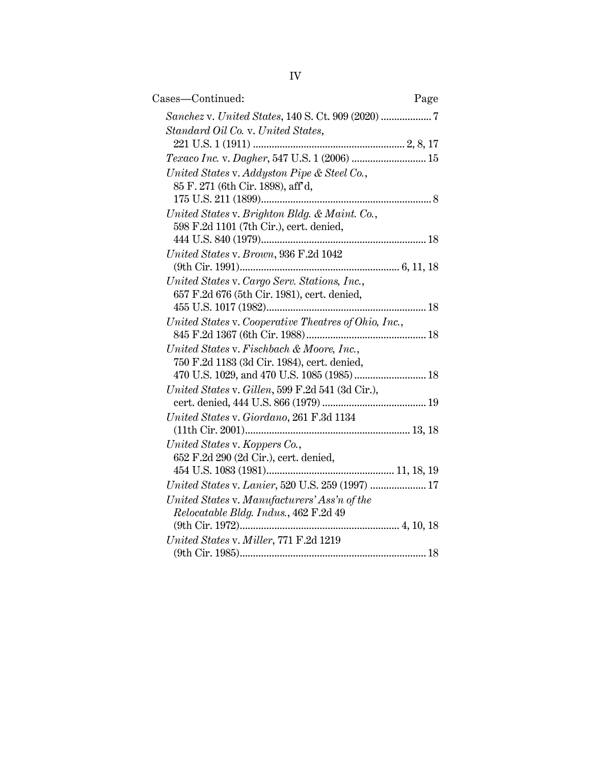| Cases-Continued:<br>Page                             |  |
|------------------------------------------------------|--|
|                                                      |  |
| Standard Oil Co. v. United States,                   |  |
|                                                      |  |
| Texaco Inc. v. Dagher, 547 U.S. 1 (2006)  15         |  |
| United States v. Addyston Pipe & Steel Co.,          |  |
| 85 F. 271 (6th Cir. 1898), aff'd,                    |  |
|                                                      |  |
| United States v. Brighton Bldg. & Maint. Co.,        |  |
| 598 F.2d 1101 (7th Cir.), cert. denied,              |  |
|                                                      |  |
| United States v. Brown, 936 F.2d 1042                |  |
|                                                      |  |
| United States v. Cargo Serv. Stations, Inc.,         |  |
| 657 F.2d 676 (5th Cir. 1981), cert. denied,          |  |
| United States v. Cooperative Theatres of Ohio, Inc., |  |
|                                                      |  |
| United States v. Fischbach & Moore, Inc.,            |  |
| 750 F.2d 1183 (3d Cir. 1984), cert. denied,          |  |
| 470 U.S. 1029, and 470 U.S. 1085 (1985)  18          |  |
| United States v. Gillen, 599 F.2d 541 (3d Cir.),     |  |
|                                                      |  |
| United States v. Giordano, 261 F.3d 1134             |  |
|                                                      |  |
| United States v. Koppers Co.,                        |  |
| 652 F.2d 290 (2d Cir.), cert. denied,                |  |
|                                                      |  |
| United States v. Lanier, 520 U.S. 259 (1997)  17     |  |
| United States v. Manufacturers' Ass'n of the         |  |
| Relocatable Bldg. Indus., 462 F.2d 49                |  |
|                                                      |  |
| United States v. Miller, 771 F.2d 1219               |  |
|                                                      |  |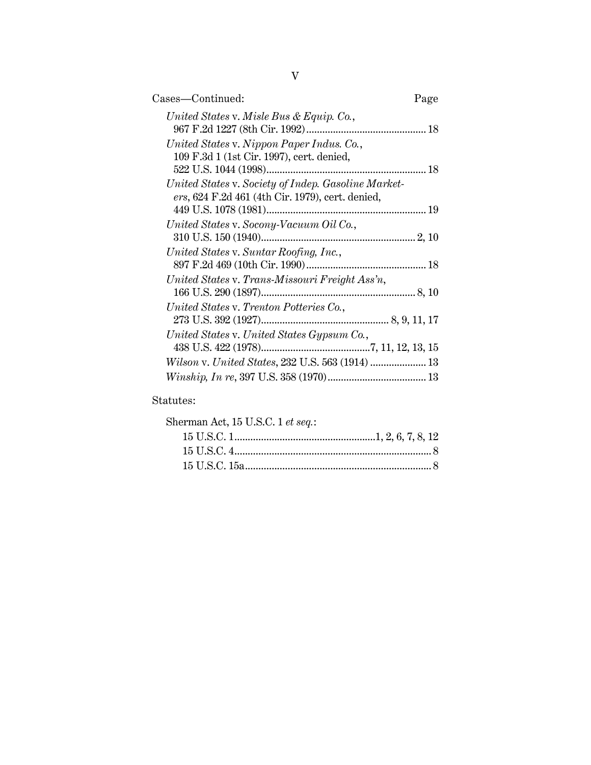| Cases—Continued:                                                                                        | Page |
|---------------------------------------------------------------------------------------------------------|------|
| United States v. Misle Bus & Equip. Co.,                                                                |      |
| United States v. Nippon Paper Indus. Co.,<br>109 F.3d 1 (1st Cir. 1997), cert. denied,                  |      |
| United States v. Society of Indep. Gasoline Market-<br>ers, 624 F.2d 461 (4th Cir. 1979), cert. denied, |      |
| United States v. Socony-Vacuum Oil Co.,<br>310 U.S. 150 (1940)                                          |      |
| United States v. Suntar Roofing, Inc.,                                                                  |      |
| United States v. Trans-Missouri Freight Ass'n,                                                          |      |
| United States v. Trenton Potteries Co.,                                                                 |      |
| United States v. United States Gypsum Co.,                                                              |      |
| Wilson v. United States, 232 U.S. 563 (1914)  13                                                        |      |
|                                                                                                         |      |

## Statutes:

| Sherman Act, 15 U.S.C. 1 et seq.: |  |
|-----------------------------------|--|
|                                   |  |
|                                   |  |
|                                   |  |
|                                   |  |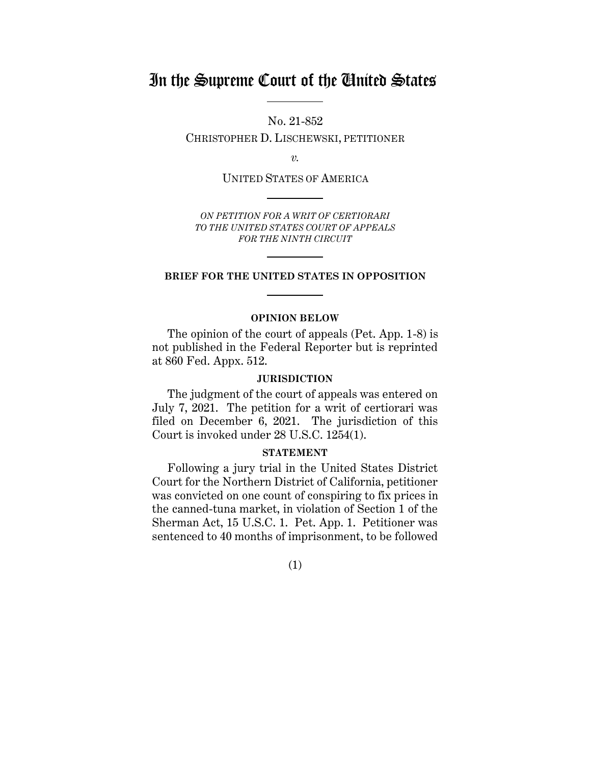## In the Supreme Court of the United States

No. 21-852 CHRISTOPHER D. LISCHEWSKI, PETITIONER

*v.*

UNITED STATES OF AMERICA

*ON PETITION FOR A WRIT OF CERTIORARI TO THE UNITED STATES COURT OF APPEALS FOR THE NINTH CIRCUIT*

### **BRIEF FOR THE UNITED STATES IN OPPOSITION**

### **OPINION BELOW**

<span id="page-5-0"></span>The opinion of the court of appeals (Pet. App. 1-8) is not published in the Federal Reporter but is reprinted at 860 Fed. Appx. 512.

### **JURISDICTION**

<span id="page-5-1"></span>The judgment of the court of appeals was entered on July 7, 2021. The petition for a writ of certiorari was filed on December 6, 2021. The jurisdiction of this Court is invoked under 28 U.S.C. 1254(1).

### **STATEMENT**

<span id="page-5-2"></span>Following a jury trial in the United States District Court for the Northern District of California, petitioner was convicted on one count of conspiring to fix prices in the canned-tuna market, in violation of Section 1 of the Sherman Act, 15 U.S.C. 1. Pet. App. 1. Petitioner was sentenced to 40 months of imprisonment, to be followed

(1)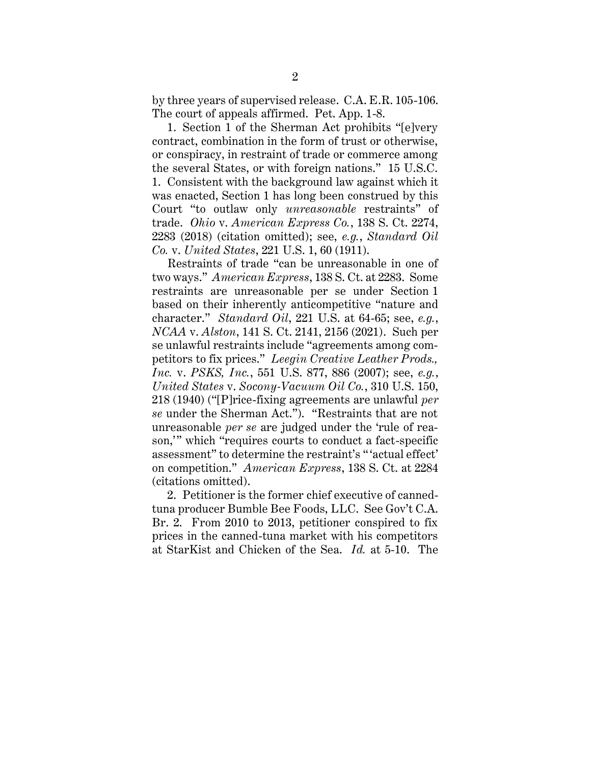by three years of supervised release. C.A. E.R. 105-106. The court of appeals affirmed. Pet. App. 1-8.

1. Section 1 of the Sherman Act prohibits "[e]very contract, combination in the form of trust or otherwise, or conspiracy, in restraint of trade or commerce among the several States, or with foreign nations." 15 U.S.C. 1. Consistent with the background law against which it was enacted, Section 1 has long been construed by this Court "to outlaw only *unreasonable* restraints" of trade. *Ohio* v. *American Express Co.*, 138 S. Ct. 2274, 2283 (2018) (citation omitted); see, *e.g.*, *Standard Oil Co.* v. *United States*, 221 U.S. 1, 60 (1911).

Restraints of trade "can be unreasonable in one of two ways." *American Express*, 138 S. Ct. at 2283. Some restraints are unreasonable per se under Section 1 based on their inherently anticompetitive "nature and character." *Standard Oil*, 221 U.S. at 64-65; see, *e.g.*, *NCAA* v. *Alston*, 141 S. Ct. 2141, 2156 (2021). Such per se unlawful restraints include "agreements among competitors to fix prices." *Leegin Creative Leather Prods., Inc.* v. *PSKS, Inc.*, 551 U.S. 877, 886 (2007); see, *e.g.*, *United States* v. *Socony-Vacuum Oil Co.*, 310 U.S. 150, 218 (1940) ("[P]rice-fixing agreements are unlawful *per se* under the Sherman Act."). "Restraints that are not unreasonable *per se* are judged under the 'rule of reason,'" which "requires courts to conduct a fact-specific assessment" to determine the restraint's " 'actual effect' on competition." *American Express*, 138 S. Ct. at 2284 (citations omitted).

2. Petitioner is the former chief executive of cannedtuna producer Bumble Bee Foods, LLC. See Gov't C.A. Br. 2. From 2010 to 2013, petitioner conspired to fix prices in the canned-tuna market with his competitors at StarKist and Chicken of the Sea. *Id.* at 5-10. The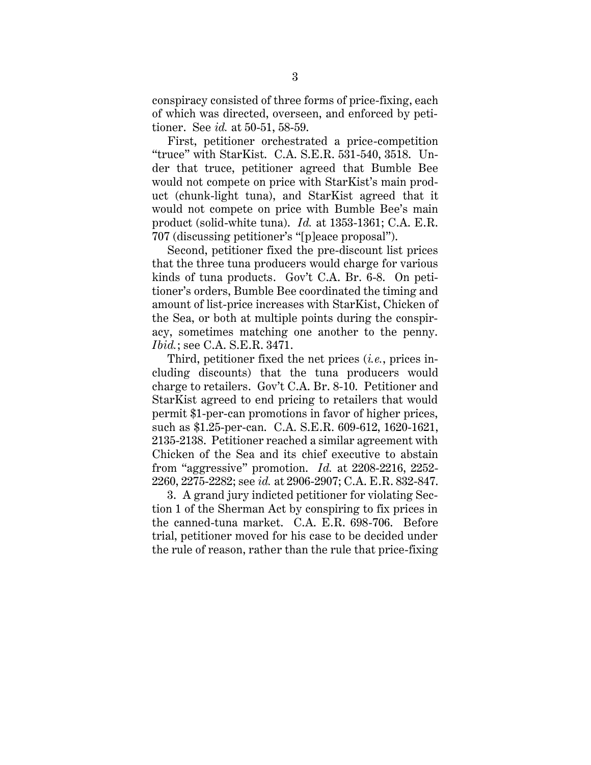conspiracy consisted of three forms of price-fixing, each of which was directed, overseen, and enforced by petitioner. See *id.* at 50-51, 58-59.

First, petitioner orchestrated a price-competition "truce" with StarKist. C.A. S.E.R. 531-540, 3518. Under that truce, petitioner agreed that Bumble Bee would not compete on price with StarKist's main product (chunk-light tuna), and StarKist agreed that it would not compete on price with Bumble Bee's main product (solid-white tuna). *Id.* at 1353-1361; C.A. E.R. 707 (discussing petitioner's "[p]eace proposal").

Second, petitioner fixed the pre-discount list prices that the three tuna producers would charge for various kinds of tuna products. Gov't C.A. Br. 6-8. On petitioner's orders, Bumble Bee coordinated the timing and amount of list-price increases with StarKist, Chicken of the Sea, or both at multiple points during the conspiracy, sometimes matching one another to the penny. *Ibid.*; see C.A. S.E.R. 3471.

Third, petitioner fixed the net prices (*i.e.*, prices including discounts) that the tuna producers would charge to retailers. Gov't C.A. Br. 8-10. Petitioner and StarKist agreed to end pricing to retailers that would permit \$1-per-can promotions in favor of higher prices, such as \$1.25-per-can. C.A. S.E.R. 609-612, 1620-1621, 2135-2138. Petitioner reached a similar agreement with Chicken of the Sea and its chief executive to abstain from "aggressive" promotion. *Id.* at 2208-2216, 2252- 2260, 2275-2282; see *id.* at 2906-2907; C.A. E.R. 832-847.

3. A grand jury indicted petitioner for violating Section 1 of the Sherman Act by conspiring to fix prices in the canned-tuna market. C.A. E.R. 698-706. Before trial, petitioner moved for his case to be decided under the rule of reason, rather than the rule that price-fixing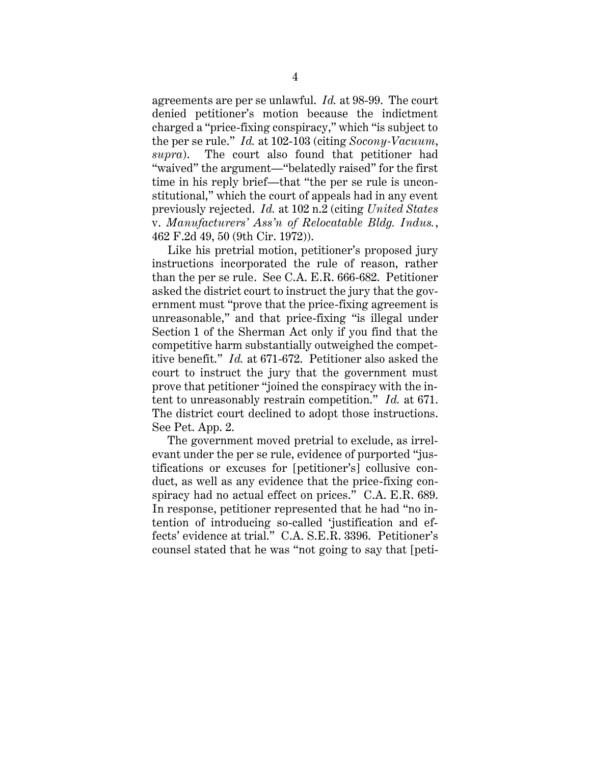agreements are per se unlawful. *Id.* at 98-99. The court denied petitioner's motion because the indictment charged a "price-fixing conspiracy," which "is subject to the per se rule." *Id.* at 102-103 (citing *Socony-Vacuum*, *supra*). The court also found that petitioner had "waived" the argument—"belatedly raised" for the first time in his reply brief—that "the per se rule is unconstitutional," which the court of appeals had in any event previously rejected. *Id.* at 102 n.2 (citing *United States*  v. *Manufacturers' Ass'n of Relocatable Bldg. Indus.*, 462 F.2d 49, 50 (9th Cir. 1972)).

Like his pretrial motion, petitioner's proposed jury instructions incorporated the rule of reason, rather than the per se rule. See C.A. E.R. 666-682. Petitioner asked the district court to instruct the jury that the government must "prove that the price-fixing agreement is unreasonable," and that price-fixing "is illegal under Section 1 of the Sherman Act only if you find that the competitive harm substantially outweighed the competitive benefit." *Id.* at 671-672. Petitioner also asked the court to instruct the jury that the government must prove that petitioner "joined the conspiracy with the intent to unreasonably restrain competition." *Id.* at 671. The district court declined to adopt those instructions. See Pet. App. 2.

The government moved pretrial to exclude, as irrelevant under the per se rule, evidence of purported "justifications or excuses for [petitioner's] collusive conduct, as well as any evidence that the price-fixing conspiracy had no actual effect on prices." C.A. E.R. 689. In response, petitioner represented that he had "no intention of introducing so-called 'justification and effects' evidence at trial." C.A. S.E.R. 3396. Petitioner's counsel stated that he was "not going to say that [peti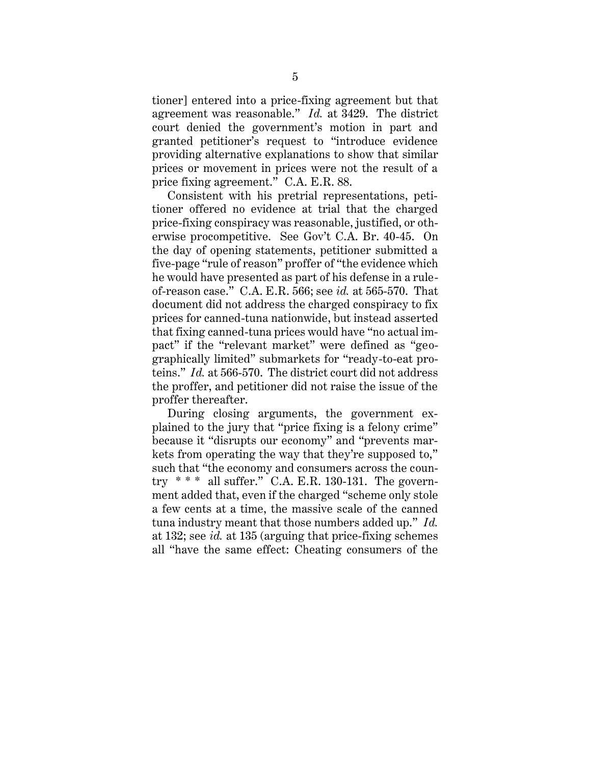tioner] entered into a price-fixing agreement but that agreement was reasonable." *Id.* at 3429. The district court denied the government's motion in part and granted petitioner's request to "introduce evidence providing alternative explanations to show that similar prices or movement in prices were not the result of a price fixing agreement." C.A. E.R. 88.

Consistent with his pretrial representations, petitioner offered no evidence at trial that the charged price-fixing conspiracy was reasonable, justified, or otherwise procompetitive. See Gov't C.A. Br. 40-45. On the day of opening statements, petitioner submitted a five-page "rule of reason" proffer of "the evidence which he would have presented as part of his defense in a ruleof-reason case." C.A. E.R. 566; see *id.* at 565-570. That document did not address the charged conspiracy to fix prices for canned-tuna nationwide, but instead asserted that fixing canned-tuna prices would have "no actual impact" if the "relevant market" were defined as "geographically limited" submarkets for "ready-to-eat proteins." *Id.* at 566-570. The district court did not address the proffer, and petitioner did not raise the issue of the proffer thereafter.

During closing arguments, the government explained to the jury that "price fixing is a felony crime" because it "disrupts our economy" and "prevents markets from operating the way that they're supposed to," such that "the economy and consumers across the country  $**$  all suffer." C.A. E.R. 130-131. The government added that, even if the charged "scheme only stole a few cents at a time, the massive scale of the canned tuna industry meant that those numbers added up." *Id.* at 132; see *id.* at 135 (arguing that price-fixing schemes all "have the same effect: Cheating consumers of the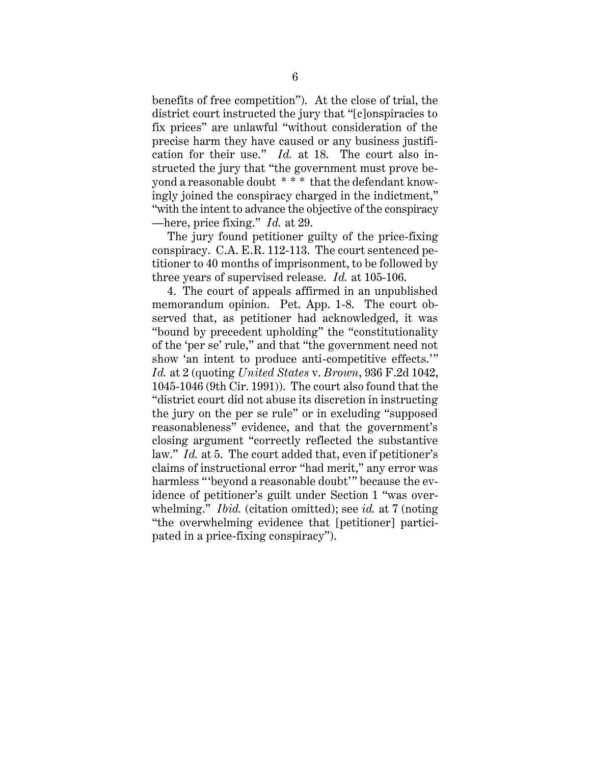benefits of free competition"). At the close of trial, the district court instructed the jury that "[c]onspiracies to fix prices" are unlawful "without consideration of the precise harm they have caused or any business justification for their use." *Id.* at 18. The court also instructed the jury that "the government must prove beyond a reasonable doubt \* \* \* that the defendant knowingly joined the conspiracy charged in the indictment," "with the intent to advance the objective of the conspiracy —here, price fixing." *Id.* at 29.

The jury found petitioner guilty of the price-fixing conspiracy. C.A. E.R. 112-113. The court sentenced petitioner to 40 months of imprisonment, to be followed by three years of supervised release. *Id.* at 105-106.

4. The court of appeals affirmed in an unpublished memorandum opinion. Pet. App. 1-8. The court observed that, as petitioner had acknowledged, it was "bound by precedent upholding" the "constitutionality of the 'per se' rule," and that "the government need not show 'an intent to produce anti-competitive effects.'" *Id.* at 2 (quoting *United States* v. *Brown*, 936 F.2d 1042, 1045-1046 (9th Cir. 1991)). The court also found that the "district court did not abuse its discretion in instructing the jury on the per se rule" or in excluding "supposed reasonableness" evidence, and that the government's closing argument "correctly reflected the substantive law." *Id.* at 5. The court added that, even if petitioner's claims of instructional error "had merit," any error was harmless "'beyond a reasonable doubt'" because the evidence of petitioner's guilt under Section 1 "was overwhelming." *Ibid.* (citation omitted); see *id.* at 7 (noting "the overwhelming evidence that [petitioner] participated in a price-fixing conspiracy").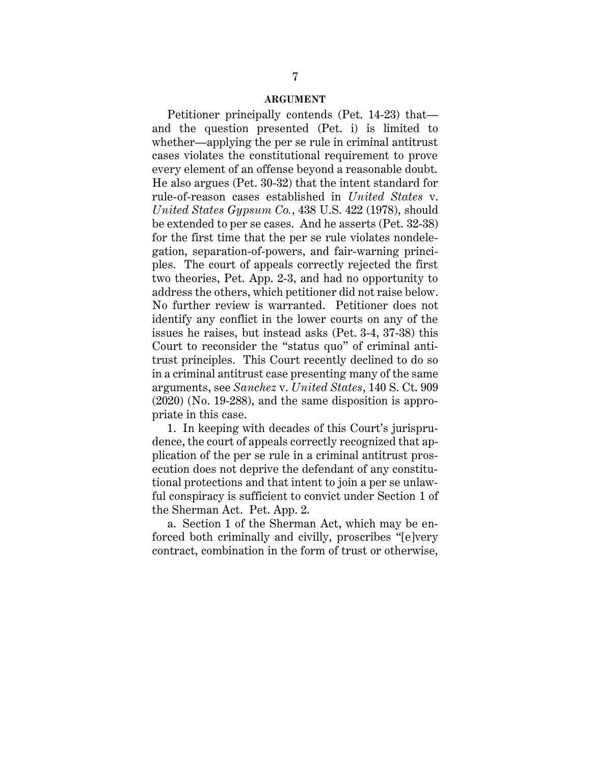#### **ARGUMENT**

<span id="page-11-0"></span>Petitioner principally contends (Pet. 14-23) that and the question presented (Pet. i) is limited to whether—applying the per se rule in criminal antitrust cases violates the constitutional requirement to prove every element of an offense beyond a reasonable doubt. He also argues (Pet. 30-32) that the intent standard for rule-of-reason cases established in *United States* v. *United States Gypsum Co.*, 438 U.S. 422 (1978), should be extended to per se cases. And he asserts (Pet. 32-38) for the first time that the per se rule violates nondelegation, separation-of-powers, and fair-warning principles. The court of appeals correctly rejected the first two theories, Pet. App. 2-3, and had no opportunity to address the others, which petitioner did not raise below. No further review is warranted. Petitioner does not identify any conflict in the lower courts on any of the issues he raises, but instead asks (Pet. 3-4, 37-38) this Court to reconsider the "status quo" of criminal antitrust principles. This Court recently declined to do so in a criminal antitrust case presenting many of the same arguments, see *Sanchez* v. *United States*, 140 S. Ct. 909 (2020) (No. 19-288), and the same disposition is appropriate in this case.

1. In keeping with decades of this Court's jurisprudence, the court of appeals correctly recognized that application of the per se rule in a criminal antitrust prosecution does not deprive the defendant of any constitutional protections and that intent to join a per se unlawful conspiracy is sufficient to convict under Section 1 of the Sherman Act. Pet. App. 2.

a. Section 1 of the Sherman Act, which may be enforced both criminally and civilly, proscribes "[e]very contract, combination in the form of trust or otherwise,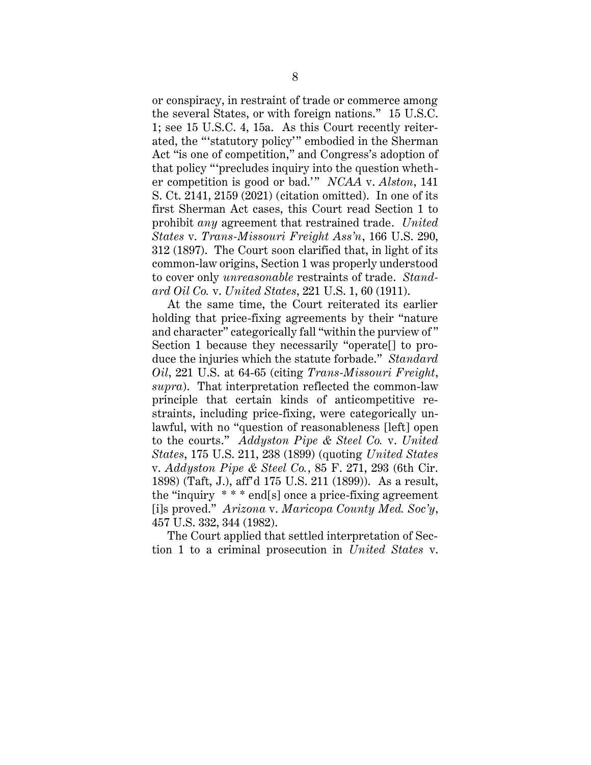or conspiracy, in restraint of trade or commerce among the several States, or with foreign nations." 15 U.S.C. 1; see 15 U.S.C. 4, 15a. As this Court recently reiterated, the "'statutory policy'" embodied in the Sherman Act "is one of competition," and Congress's adoption of that policy "'precludes inquiry into the question whether competition is good or bad.'" *NCAA* v. *Alston*, 141 S. Ct. 2141, 2159 (2021) (citation omitted). In one of its first Sherman Act cases, this Court read Section 1 to prohibit *any* agreement that restrained trade. *United States* v. *Trans-Missouri Freight Ass'n*, 166 U.S. 290, 312 (1897). The Court soon clarified that, in light of its common-law origins, Section 1 was properly understood to cover only *unreasonable* restraints of trade. *Standard Oil Co.* v. *United States*, 221 U.S. 1, 60 (1911).

At the same time, the Court reiterated its earlier holding that price-fixing agreements by their "nature and character" categorically fall "within the purview of " Section 1 because they necessarily "operate[] to produce the injuries which the statute forbade." *Standard Oil*, 221 U.S. at 64-65 (citing *Trans-Missouri Freight*, *supra*). That interpretation reflected the common-law principle that certain kinds of anticompetitive restraints, including price-fixing, were categorically unlawful, with no "question of reasonableness [left] open to the courts." *Addyston Pipe & Steel Co.* v. *United States*, 175 U.S. 211, 238 (1899) (quoting *United States* v. *Addyston Pipe & Steel Co.*, 85 F. 271, 293 (6th Cir. 1898) (Taft, J.), aff'd 175 U.S. 211 (1899)). As a result, the "inquiry \* \* \* end[s] once a price-fixing agreement [i]s proved." *Arizona* v. *Maricopa County Med. Soc'y*, 457 U.S. 332, 344 (1982).

The Court applied that settled interpretation of Section 1 to a criminal prosecution in *United States* v.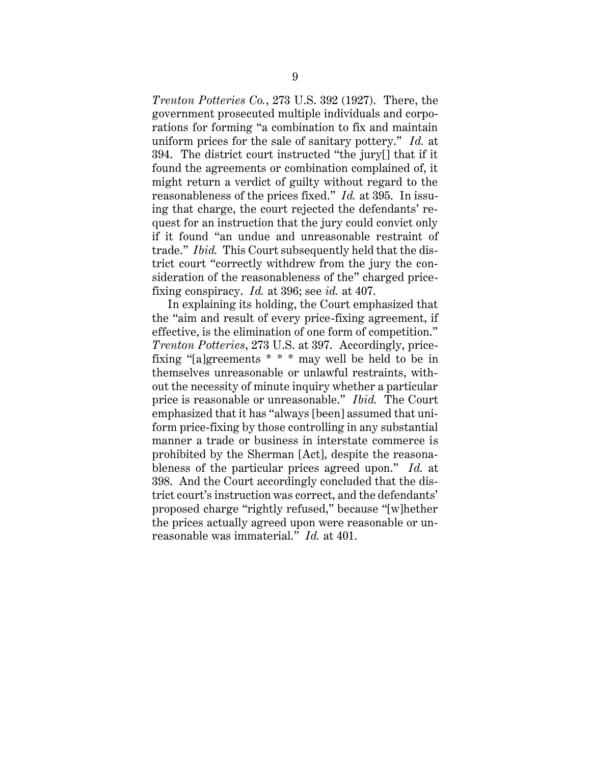*Trenton Potteries Co.*, 273 U.S. 392 (1927). There, the government prosecuted multiple individuals and corporations for forming "a combination to fix and maintain uniform prices for the sale of sanitary pottery." *Id.* at 394. The district court instructed "the jury[] that if it found the agreements or combination complained of, it might return a verdict of guilty without regard to the reasonableness of the prices fixed." *Id.* at 395. In issuing that charge, the court rejected the defendants' request for an instruction that the jury could convict only if it found "an undue and unreasonable restraint of trade." *Ibid.* This Court subsequently held that the district court "correctly withdrew from the jury the consideration of the reasonableness of the" charged pricefixing conspiracy. *Id.* at 396; see *id.* at 407.

In explaining its holding, the Court emphasized that the "aim and result of every price-fixing agreement, if effective, is the elimination of one form of competition." *Trenton Potteries*, 273 U.S. at 397. Accordingly, pricefixing "[a]greements \* \* \* may well be held to be in themselves unreasonable or unlawful restraints, without the necessity of minute inquiry whether a particular price is reasonable or unreasonable." *Ibid.* The Court emphasized that it has "always [been] assumed that uniform price-fixing by those controlling in any substantial manner a trade or business in interstate commerce is prohibited by the Sherman [Act], despite the reasonableness of the particular prices agreed upon." *Id.* at 398. And the Court accordingly concluded that the district court's instruction was correct, and the defendants' proposed charge "rightly refused," because "[w]hether the prices actually agreed upon were reasonable or unreasonable was immaterial." *Id.* at 401.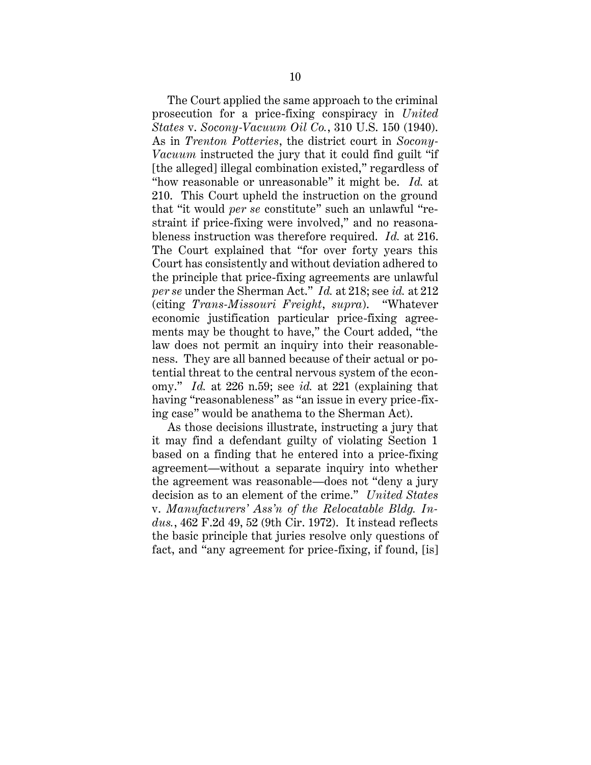The Court applied the same approach to the criminal prosecution for a price-fixing conspiracy in *United States* v. *Socony-Vacuum Oil Co.*, 310 U.S. 150 (1940). As in *Trenton Potteries*, the district court in *Socony-Vacuum* instructed the jury that it could find guilt "if [the alleged] illegal combination existed," regardless of "how reasonable or unreasonable" it might be. *Id.* at 210. This Court upheld the instruction on the ground that "it would *per se* constitute" such an unlawful "restraint if price-fixing were involved," and no reasonableness instruction was therefore required. *Id.* at 216. The Court explained that "for over forty years this Court has consistently and without deviation adhered to the principle that price-fixing agreements are unlawful *per se* under the Sherman Act." *Id.* at 218; see *id.* at 212 (citing *Trans-Missouri Freight*, *supra*). "Whatever economic justification particular price-fixing agreements may be thought to have," the Court added, "the law does not permit an inquiry into their reasonableness. They are all banned because of their actual or potential threat to the central nervous system of the economy." *Id.* at 226 n.59; see *id.* at 221 (explaining that having "reasonableness" as "an issue in every price-fixing case" would be anathema to the Sherman Act).

As those decisions illustrate, instructing a jury that it may find a defendant guilty of violating Section 1 based on a finding that he entered into a price-fixing agreement—without a separate inquiry into whether the agreement was reasonable—does not "deny a jury decision as to an element of the crime." *United States*  v. *Manufacturers' Ass'n of the Relocatable Bldg. Indus.*, 462 F.2d 49, 52 (9th Cir. 1972). It instead reflects the basic principle that juries resolve only questions of fact, and "any agreement for price-fixing, if found, [is]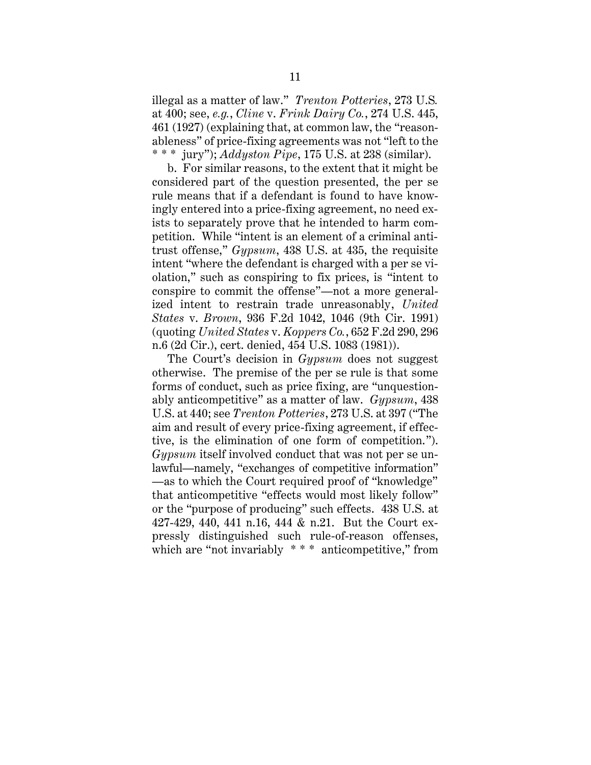illegal as a matter of law." *Trenton Potteries*, 273 U.S*.* at 400; see, *e.g.*, *Cline* v. *Frink Dairy Co.*, 274 U.S. 445, 461 (1927) (explaining that, at common law, the "reasonableness" of price-fixing agreements was not "left to the \* \* \* jury"); *Addyston Pipe*, 175 U.S. at 238 (similar).

b. For similar reasons, to the extent that it might be considered part of the question presented, the per se rule means that if a defendant is found to have knowingly entered into a price-fixing agreement, no need exists to separately prove that he intended to harm competition. While "intent is an element of a criminal antitrust offense," *Gypsum*, 438 U.S. at 435, the requisite intent "where the defendant is charged with a per se violation," such as conspiring to fix prices, is "intent to conspire to commit the offense"—not a more generalized intent to restrain trade unreasonably, *United States* v. *Brown*, 936 F.2d 1042, 1046 (9th Cir. 1991) (quoting *United States* v. *Koppers Co.*, 652 F.2d 290, 296 n.6 (2d Cir.), cert. denied, 454 U.S. 1083 (1981)).

The Court's decision in *Gypsum* does not suggest otherwise. The premise of the per se rule is that some forms of conduct, such as price fixing, are "unquestionably anticompetitive" as a matter of law. *Gypsum*, 438 U.S. at 440; see *Trenton Potteries*, 273 U.S. at 397 ("The aim and result of every price-fixing agreement, if effective, is the elimination of one form of competition."). *Gypsum* itself involved conduct that was not per se unlawful—namely, "exchanges of competitive information" —as to which the Court required proof of "knowledge" that anticompetitive "effects would most likely follow" or the "purpose of producing" such effects. 438 U.S. at 427-429, 440, 441 n.16, 444 & n.21. But the Court expressly distinguished such rule-of-reason offenses, which are "not invariably  $***$  anticompetitive," from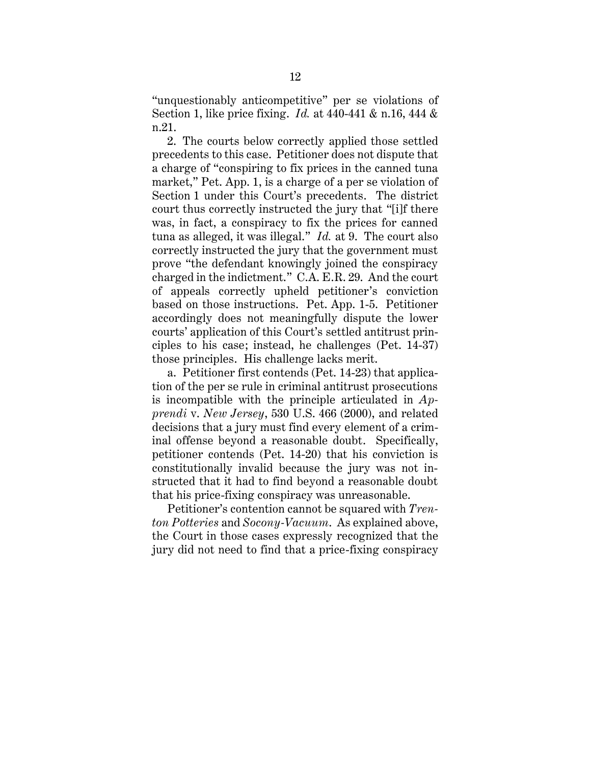"unquestionably anticompetitive" per se violations of Section 1, like price fixing. *Id.* at 440-441 & n.16, 444 & n.21.

2. The courts below correctly applied those settled precedents to this case. Petitioner does not dispute that a charge of "conspiring to fix prices in the canned tuna market," Pet. App. 1, is a charge of a per se violation of Section 1 under this Court's precedents. The district court thus correctly instructed the jury that "[i]f there was, in fact, a conspiracy to fix the prices for canned tuna as alleged, it was illegal." *Id.* at 9. The court also correctly instructed the jury that the government must prove "the defendant knowingly joined the conspiracy charged in the indictment." C.A. E.R. 29. And the court of appeals correctly upheld petitioner's conviction based on those instructions. Pet. App. 1-5. Petitioner accordingly does not meaningfully dispute the lower courts' application of this Court's settled antitrust principles to his case; instead, he challenges (Pet. 14-37) those principles. His challenge lacks merit.

a. Petitioner first contends (Pet. 14-23) that application of the per se rule in criminal antitrust prosecutions is incompatible with the principle articulated in *Apprendi* v. *New Jersey*, 530 U.S. 466 (2000), and related decisions that a jury must find every element of a criminal offense beyond a reasonable doubt. Specifically, petitioner contends (Pet. 14-20) that his conviction is constitutionally invalid because the jury was not instructed that it had to find beyond a reasonable doubt that his price-fixing conspiracy was unreasonable.

Petitioner's contention cannot be squared with *Trenton Potteries* and *Socony-Vacuum*. As explained above, the Court in those cases expressly recognized that the jury did not need to find that a price-fixing conspiracy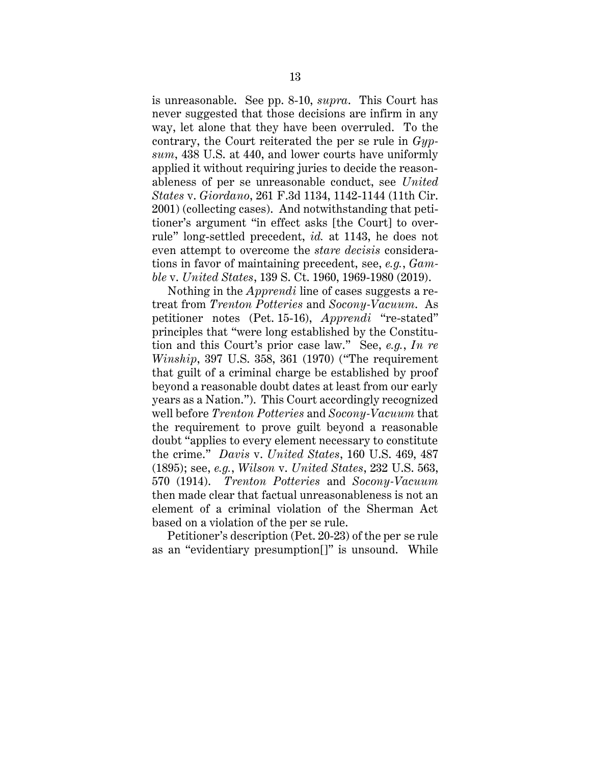is unreasonable. See pp. 8-10, *supra*. This Court has never suggested that those decisions are infirm in any way, let alone that they have been overruled. To the contrary, the Court reiterated the per se rule in *Gypsum*, 438 U.S. at 440, and lower courts have uniformly applied it without requiring juries to decide the reasonableness of per se unreasonable conduct, see *United States* v. *Giordano*, 261 F.3d 1134, 1142-1144 (11th Cir. 2001) (collecting cases). And notwithstanding that petitioner's argument "in effect asks [the Court] to overrule" long-settled precedent, *id.* at 1143, he does not even attempt to overcome the *stare decisis* considerations in favor of maintaining precedent, see, *e.g.*, *Gamble* v. *United States*, 139 S. Ct. 1960, 1969-1980 (2019).

Nothing in the *Apprendi* line of cases suggests a retreat from *Trenton Potteries* and *Socony-Vacuum*. As petitioner notes (Pet. 15-16), *Apprendi* "re-stated" principles that "were long established by the Constitution and this Court's prior case law." See, *e.g.*, *In re Winship*, 397 U.S. 358, 361 (1970) ("The requirement that guilt of a criminal charge be established by proof beyond a reasonable doubt dates at least from our early years as a Nation."). This Court accordingly recognized well before *Trenton Potteries* and *Socony-Vacuum* that the requirement to prove guilt beyond a reasonable doubt "applies to every element necessary to constitute the crime." *Davis* v. *United States*, 160 U.S. 469, 487 (1895); see, *e.g.*, *Wilson* v. *United States*, 232 U.S. 563, 570 (1914). *Trenton Potteries* and *Socony-Vacuum* then made clear that factual unreasonableness is not an element of a criminal violation of the Sherman Act based on a violation of the per se rule.

Petitioner's description (Pet. 20-23) of the per se rule as an "evidentiary presumption[]" is unsound. While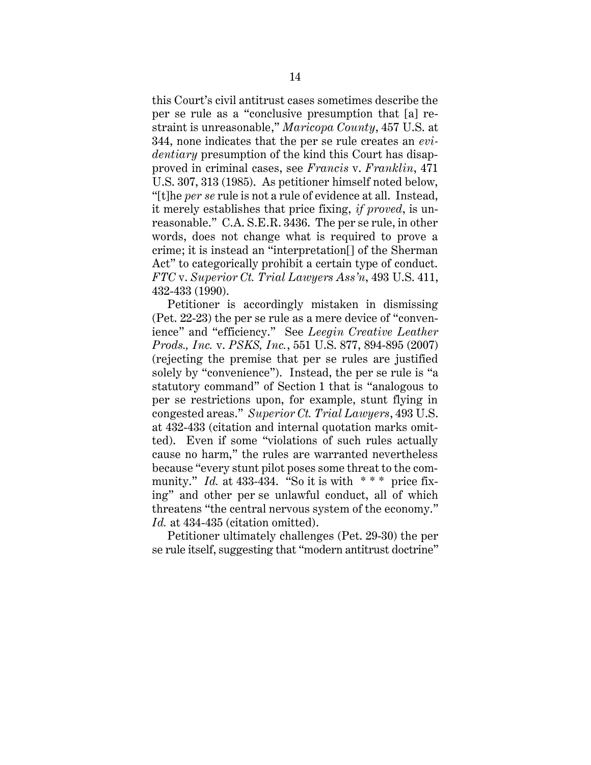this Court's civil antitrust cases sometimes describe the per se rule as a "conclusive presumption that [a] restraint is unreasonable," *Maricopa County*, 457 U.S. at 344, none indicates that the per se rule creates an *evidentiary* presumption of the kind this Court has disapproved in criminal cases, see *Francis* v. *Franklin*, 471 U.S. 307, 313 (1985). As petitioner himself noted below, "[t]he *per se* rule is not a rule of evidence at all. Instead, it merely establishes that price fixing, *if proved*, is unreasonable." C.A. S.E.R. 3436. The per se rule, in other words, does not change what is required to prove a crime; it is instead an "interpretation[] of the Sherman Act" to categorically prohibit a certain type of conduct. *FTC* v. *Superior Ct. Trial Lawyers Ass'n*, 493 U.S. 411, 432-433 (1990).

Petitioner is accordingly mistaken in dismissing (Pet. 22-23) the per se rule as a mere device of "convenience" and "efficiency." See *Leegin Creative Leather Prods., Inc.* v. *PSKS, Inc.*, 551 U.S. 877, 894-895 (2007) (rejecting the premise that per se rules are justified solely by "convenience"). Instead, the per se rule is "a statutory command" of Section 1 that is "analogous to per se restrictions upon, for example, stunt flying in congested areas." *Superior Ct. Trial Lawyers*, 493 U.S. at 432-433 (citation and internal quotation marks omitted). Even if some "violations of such rules actually cause no harm," the rules are warranted nevertheless because "every stunt pilot poses some threat to the community." *Id.* at  $433-434$ . "So it is with \*\*\* price fixing" and other per se unlawful conduct, all of which threatens "the central nervous system of the economy." Id. at 434-435 (citation omitted).

Petitioner ultimately challenges (Pet. 29-30) the per se rule itself, suggesting that "modern antitrust doctrine"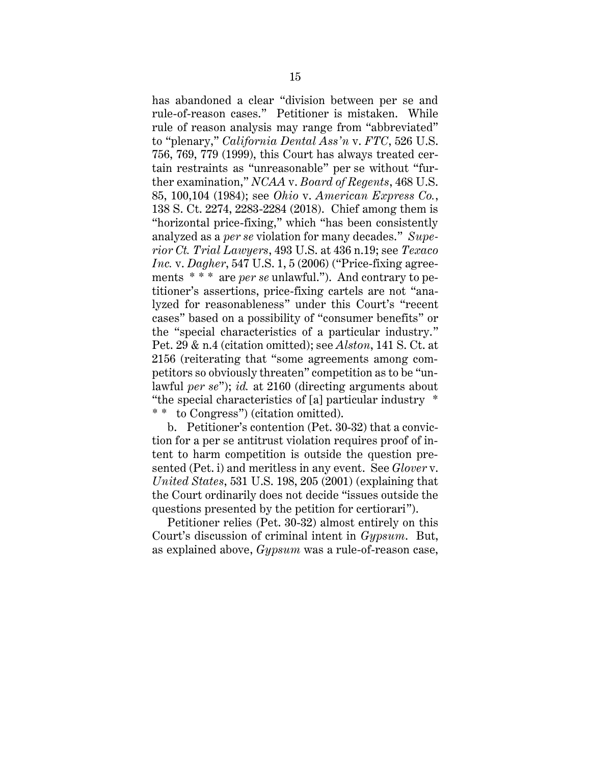has abandoned a clear "division between per se and rule-of-reason cases." Petitioner is mistaken. While rule of reason analysis may range from "abbreviated" to "plenary," *California Dental Ass'n* v. *FTC*, 526 U.S. 756, 769, 779 (1999), this Court has always treated certain restraints as "unreasonable" per se without "further examination," *NCAA* v. *Board of Regents*, 468 U.S. 85, 100,104 (1984); see *Ohio* v. *American Express Co.*, 138 S. Ct. 2274, 2283-2284 (2018). Chief among them is "horizontal price-fixing," which "has been consistently analyzed as a *per se* violation for many decades." *Superior Ct. Trial Lawyers*, 493 U.S. at 436 n.19; see *Texaco Inc.* v. *Dagher*, 547 U.S. 1, 5 (2006) ("Price-fixing agreements \* \* \* are *per se* unlawful."). And contrary to petitioner's assertions, price-fixing cartels are not "analyzed for reasonableness" under this Court's "recent cases" based on a possibility of "consumer benefits" or the "special characteristics of a particular industry." Pet. 29 & n.4 (citation omitted); see *Alston*, 141 S. Ct. at 2156 (reiterating that "some agreements among competitors so obviously threaten" competition as to be "unlawful *per se*"); *id.* at 2160 (directing arguments about "the special characteristics of [a] particular industry \* \* \* to Congress") (citation omitted).

b. Petitioner's contention (Pet. 30-32) that a conviction for a per se antitrust violation requires proof of intent to harm competition is outside the question presented (Pet. i) and meritless in any event. See *Glover* v. *United States*, 531 U.S. 198, 205 (2001) (explaining that the Court ordinarily does not decide "issues outside the questions presented by the petition for certiorari").

Petitioner relies (Pet. 30-32) almost entirely on this Court's discussion of criminal intent in *Gypsum*. But, as explained above, *Gypsum* was a rule-of-reason case,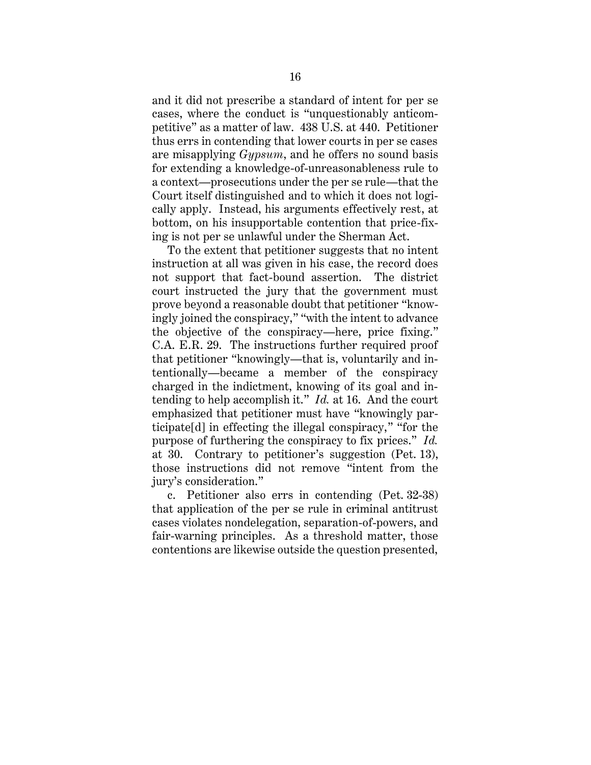and it did not prescribe a standard of intent for per se cases, where the conduct is "unquestionably anticompetitive" as a matter of law. 438 U.S. at 440. Petitioner thus errs in contending that lower courts in per se cases are misapplying *Gypsum*, and he offers no sound basis for extending a knowledge-of-unreasonableness rule to a context—prosecutions under the per se rule—that the Court itself distinguished and to which it does not logically apply. Instead, his arguments effectively rest, at bottom, on his insupportable contention that price-fixing is not per se unlawful under the Sherman Act.

To the extent that petitioner suggests that no intent instruction at all was given in his case, the record does not support that fact-bound assertion. The district court instructed the jury that the government must prove beyond a reasonable doubt that petitioner "knowingly joined the conspiracy," "with the intent to advance the objective of the conspiracy—here, price fixing." C.A. E.R. 29. The instructions further required proof that petitioner "knowingly—that is, voluntarily and intentionally—became a member of the conspiracy charged in the indictment, knowing of its goal and intending to help accomplish it." *Id.* at 16. And the court emphasized that petitioner must have "knowingly participate[d] in effecting the illegal conspiracy," "for the purpose of furthering the conspiracy to fix prices." *Id.* at 30. Contrary to petitioner's suggestion (Pet. 13), those instructions did not remove "intent from the jury's consideration."

c. Petitioner also errs in contending (Pet. 32-38) that application of the per se rule in criminal antitrust cases violates nondelegation, separation-of-powers, and fair-warning principles. As a threshold matter, those contentions are likewise outside the question presented,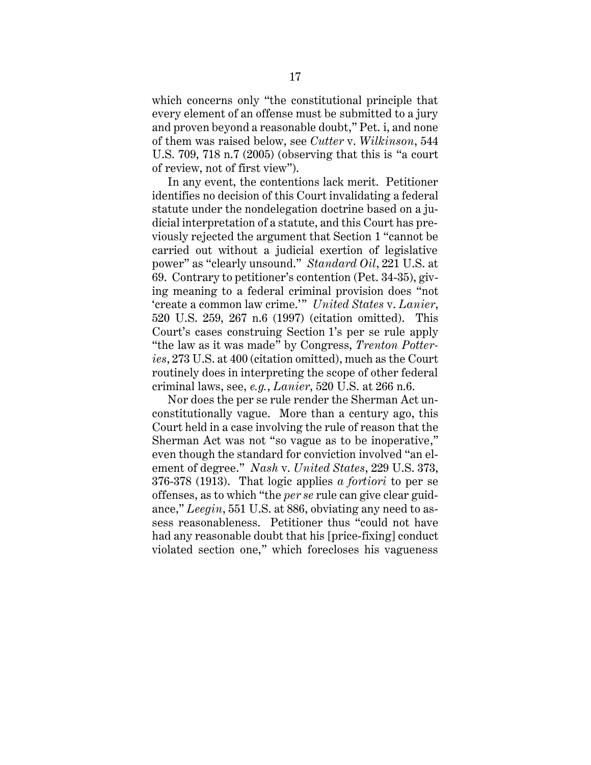which concerns only "the constitutional principle that every element of an offense must be submitted to a jury and proven beyond a reasonable doubt," Pet. i, and none of them was raised below, see *Cutter* v. *Wilkinson*, 544 U.S. 709, 718 n.7 (2005) (observing that this is "a court of review, not of first view").

In any event, the contentions lack merit. Petitioner identifies no decision of this Court invalidating a federal statute under the nondelegation doctrine based on a judicial interpretation of a statute, and this Court has previously rejected the argument that Section 1 "cannot be carried out without a judicial exertion of legislative power" as "clearly unsound." *Standard Oil*, 221 U.S. at 69. Contrary to petitioner's contention (Pet. 34-35), giving meaning to a federal criminal provision does "not 'create a common law crime.'" *United States* v. *Lanier*, 520 U.S. 259, 267 n.6 (1997) (citation omitted). This Court's cases construing Section 1's per se rule apply "the law as it was made" by Congress, *Trenton Potteries*, 273 U.S. at 400 (citation omitted), much as the Court routinely does in interpreting the scope of other federal criminal laws, see, *e.g.*, *Lanier*, 520 U.S. at 266 n.6.

Nor does the per se rule render the Sherman Act unconstitutionally vague. More than a century ago, this Court held in a case involving the rule of reason that the Sherman Act was not "so vague as to be inoperative," even though the standard for conviction involved "an element of degree." *Nash* v. *United States*, 229 U.S. 373, 376-378 (1913). That logic applies *a fortiori* to per se offenses, as to which "the *per se* rule can give clear guidance," *Leegin*, 551 U.S. at 886, obviating any need to assess reasonableness. Petitioner thus "could not have had any reasonable doubt that his [price-fixing] conduct violated section one," which forecloses his vagueness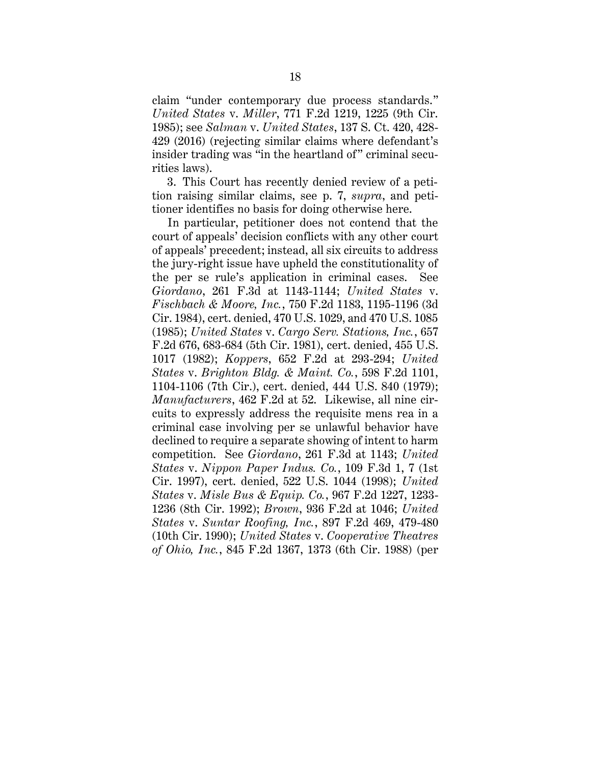claim "under contemporary due process standards." *United States* v. *Miller*, 771 F.2d 1219, 1225 (9th Cir. 1985); see *Salman* v. *United States*, 137 S. Ct. 420, 428- 429 (2016) (rejecting similar claims where defendant's insider trading was "in the heartland of" criminal securities laws).

3. This Court has recently denied review of a petition raising similar claims, see p. 7, *supra*, and petitioner identifies no basis for doing otherwise here.

In particular, petitioner does not contend that the court of appeals' decision conflicts with any other court of appeals' precedent; instead, all six circuits to address the jury-right issue have upheld the constitutionality of the per se rule's application in criminal cases. See *Giordano*, 261 F.3d at 1143-1144; *United States* v. *Fischbach & Moore, Inc.*, 750 F.2d 1183, 1195-1196 (3d Cir. 1984), cert. denied, 470 U.S. 1029, and 470 U.S. 1085 (1985); *United States* v. *Cargo Serv. Stations, Inc.*, 657 F.2d 676, 683-684 (5th Cir. 1981), cert. denied, 455 U.S. 1017 (1982); *Koppers*, 652 F.2d at 293-294; *United States* v. *Brighton Bldg. & Maint. Co.*, 598 F.2d 1101, 1104-1106 (7th Cir.), cert. denied, 444 U.S. 840 (1979); *Manufacturers*, 462 F.2d at 52. Likewise, all nine circuits to expressly address the requisite mens rea in a criminal case involving per se unlawful behavior have declined to require a separate showing of intent to harm competition. See *Giordano*, 261 F.3d at 1143; *United States* v. *Nippon Paper Indus. Co.*, 109 F.3d 1, 7 (1st Cir. 1997), cert. denied, 522 U.S. 1044 (1998); *United States* v. *Misle Bus & Equip. Co.*, 967 F.2d 1227, 1233- 1236 (8th Cir. 1992); *Brown*, 936 F.2d at 1046; *United States* v. *Suntar Roofing, Inc.*, 897 F.2d 469, 479-480 (10th Cir. 1990); *United States* v. *Cooperative Theatres of Ohio, Inc.*, 845 F.2d 1367, 1373 (6th Cir. 1988) (per